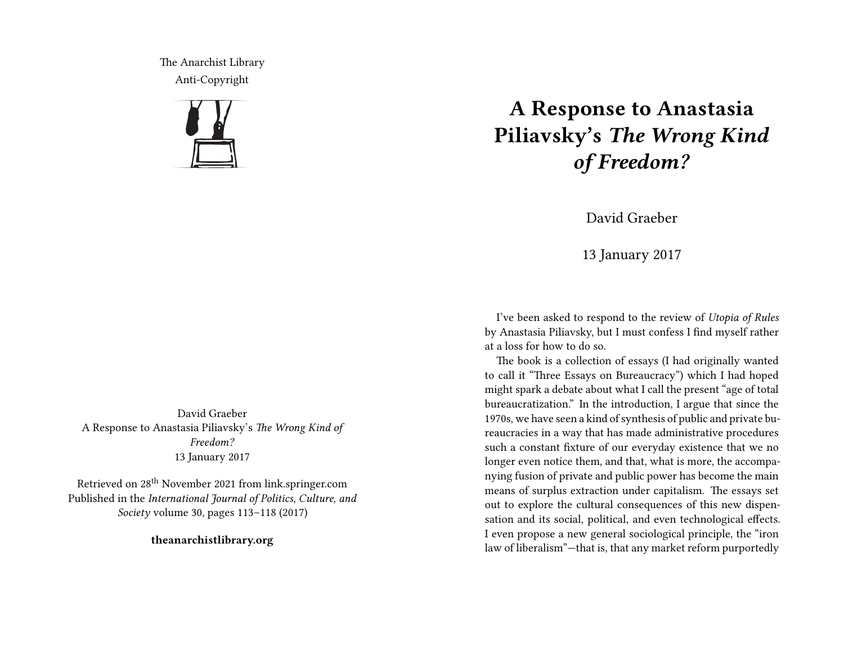The Anarchist Library Anti-Copyright



David Graeber A Response to Anastasia Piliavsky's *The Wrong Kind of Freedom?* 13 January 2017

Retrieved on 28th November 2021 from link.springer.com Published in the *International Journal of Politics, Culture, and Society* volume 30, pages 113–118 (2017)

**theanarchistlibrary.org**

## **A Response to Anastasia Piliavsky's** *The Wrong Kind of Freedom?*

David Graeber

13 January 2017

I've been asked to respond to the review of *Utopia of Rules* by Anastasia Piliavsky, but I must confess I find myself rather at a loss for how to do so.

The book is a collection of essays (I had originally wanted to call it "Three Essays on Bureaucracy") which I had hoped might spark a debate about what I call the present "age of total bureaucratization." In the introduction, I argue that since the 1970s, we have seen a kind of synthesis of public and private bureaucracies in a way that has made administrative procedures such a constant fixture of our everyday existence that we no longer even notice them, and that, what is more, the accompanying fusion of private and public power has become the main means of surplus extraction under capitalism. The essays set out to explore the cultural consequences of this new dispensation and its social, political, and even technological effects. I even propose a new general sociological principle, the "iron law of liberalism"—that is, that any market reform purportedly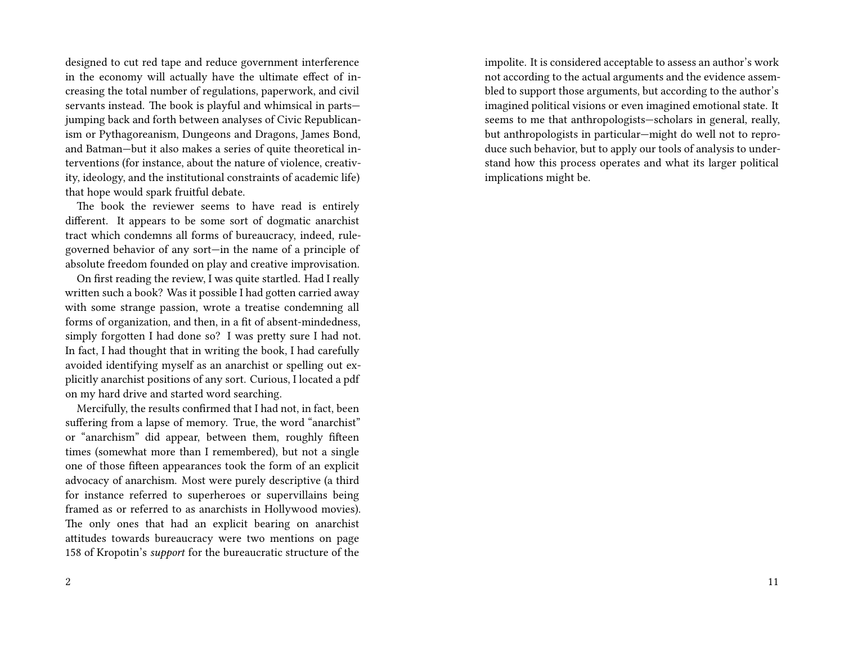designed to cut red tape and reduce government interference in the economy will actually have the ultimate effect of increasing the total number of regulations, paperwork, and civil servants instead. The book is playful and whimsical in parts jumping back and forth between analyses of Civic Republicanism or Pythagoreanism, Dungeons and Dragons, James Bond, and Batman—but it also makes a series of quite theoretical interventions (for instance, about the nature of violence, creativity, ideology, and the institutional constraints of academic life) that hope would spark fruitful debate.

The book the reviewer seems to have read is entirely different. It appears to be some sort of dogmatic anarchist tract which condemns all forms of bureaucracy, indeed, rulegoverned behavior of any sort—in the name of a principle of absolute freedom founded on play and creative improvisation.

On first reading the review, I was quite startled. Had I really written such a book? Was it possible I had gotten carried away with some strange passion, wrote a treatise condemning all forms of organization, and then, in a fit of absent-mindedness, simply forgotten I had done so? I was pretty sure I had not. In fact, I had thought that in writing the book, I had carefully avoided identifying myself as an anarchist or spelling out explicitly anarchist positions of any sort. Curious, I located a pdf on my hard drive and started word searching.

Mercifully, the results confirmed that I had not, in fact, been suffering from a lapse of memory. True, the word "anarchist" or "anarchism" did appear, between them, roughly fifteen times (somewhat more than I remembered), but not a single one of those fifteen appearances took the form of an explicit advocacy of anarchism. Most were purely descriptive (a third for instance referred to superheroes or supervillains being framed as or referred to as anarchists in Hollywood movies). The only ones that had an explicit bearing on anarchist attitudes towards bureaucracy were two mentions on page 158 of Kropotin's *support* for the bureaucratic structure of the

impolite. It is considered acceptable to assess an author's work not according to the actual arguments and the evidence assembled to support those arguments, but according to the author's imagined political visions or even imagined emotional state. It seems to me that anthropologists—scholars in general, really, but anthropologists in particular—might do well not to reproduce such behavior, but to apply our tools of analysis to understand how this process operates and what its larger political implications might be.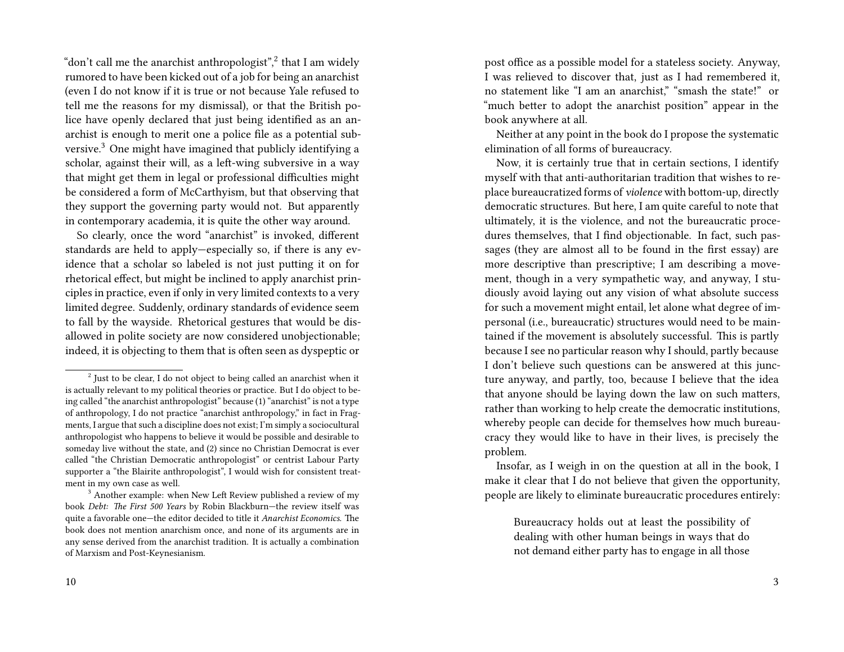"don't call me the anarchist anthropologist",<sup>2</sup> that I am widely rumored to have been kicked out of a job for being an anarchist (even I do not know if it is true or not because Yale refused to tell me the reasons for my dismissal), or that the British police have openly declared that just being identified as an anarchist is enough to merit one a police file as a potential subversive.<sup>3</sup> One might have imagined that publicly identifying a scholar, against their will, as a left-wing subversive in a way that might get them in legal or professional difficulties might be considered a form of McCarthyism, but that observing that they support the governing party would not. But apparently in contemporary academia, it is quite the other way around.

So clearly, once the word "anarchist" is invoked, different standards are held to apply—especially so, if there is any evidence that a scholar so labeled is not just putting it on for rhetorical effect, but might be inclined to apply anarchist principles in practice, even if only in very limited contexts to a very limited degree. Suddenly, ordinary standards of evidence seem to fall by the wayside. Rhetorical gestures that would be disallowed in polite society are now considered unobjectionable; indeed, it is objecting to them that is often seen as dyspeptic or

post office as a possible model for a stateless society. Anyway, I was relieved to discover that, just as I had remembered it, no statement like "I am an anarchist," "smash the state!" or "much better to adopt the anarchist position" appear in the book anywhere at all.

Neither at any point in the book do I propose the systematic elimination of all forms of bureaucracy.

Now, it is certainly true that in certain sections, I identify myself with that anti-authoritarian tradition that wishes to replace bureaucratized forms of *violence* with bottom-up, directly democratic structures. But here, I am quite careful to note that ultimately, it is the violence, and not the bureaucratic procedures themselves, that I find objectionable. In fact, such passages (they are almost all to be found in the first essay) are more descriptive than prescriptive; I am describing a movement, though in a very sympathetic way, and anyway, I studiously avoid laying out any vision of what absolute success for such a movement might entail, let alone what degree of impersonal (i.e., bureaucratic) structures would need to be maintained if the movement is absolutely successful. This is partly because I see no particular reason why I should, partly because I don't believe such questions can be answered at this juncture anyway, and partly, too, because I believe that the idea that anyone should be laying down the law on such matters, rather than working to help create the democratic institutions, whereby people can decide for themselves how much bureaucracy they would like to have in their lives, is precisely the problem.

Insofar, as I weigh in on the question at all in the book, I make it clear that I do not believe that given the opportunity, people are likely to eliminate bureaucratic procedures entirely:

 $^2$  Just to be clear, I do not object to being called an anarchist when it is actually relevant to my political theories or practice. But I do object to being called "the anarchist anthropologist" because (1) "anarchist" is not a type of anthropology, I do not practice "anarchist anthropology," in fact in Fragments, I argue that such a discipline does not exist; I'm simply a sociocultural anthropologist who happens to believe it would be possible and desirable to someday live without the state, and (2) since no Christian Democrat is ever called "the Christian Democratic anthropologist" or centrist Labour Party supporter a "the Blairite anthropologist", I would wish for consistent treatment in my own case as well.

 $3$  Another example: when New Left Review published a review of my book *Debt: The First 500 Years* by Robin Blackburn—the review itself was quite a favorable one—the editor decided to title it *Anarchist Economics*. The book does not mention anarchism once, and none of its arguments are in any sense derived from the anarchist tradition. It is actually a combination of Marxism and Post-Keynesianism.

Bureaucracy holds out at least the possibility of dealing with other human beings in ways that do not demand either party has to engage in all those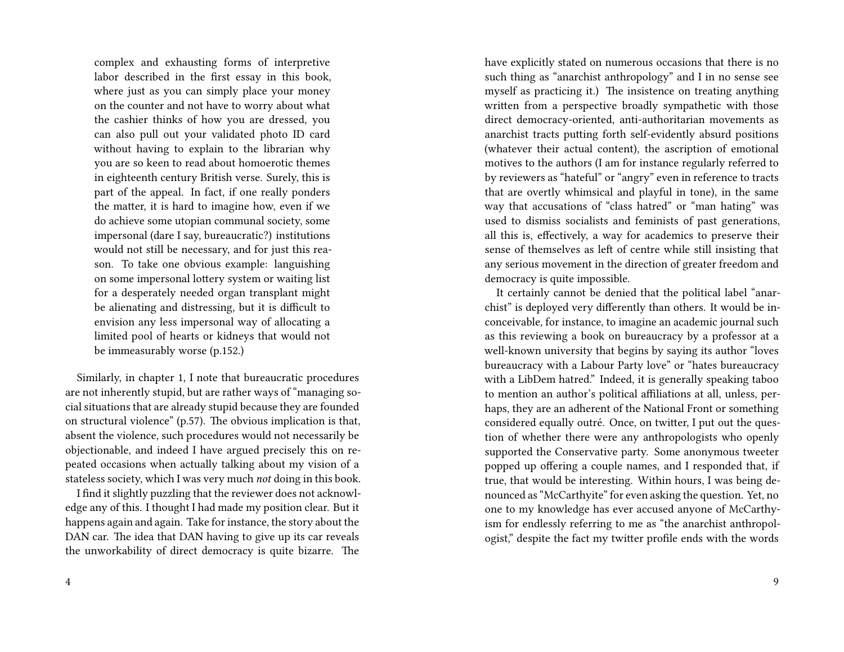complex and exhausting forms of interpretive labor described in the first essay in this book, where just as you can simply place your money on the counter and not have to worry about what the cashier thinks of how you are dressed, you can also pull out your validated photo ID card without having to explain to the librarian why you are so keen to read about homoerotic themes in eighteenth century British verse. Surely, this is part of the appeal. In fact, if one really ponders the matter, it is hard to imagine how, even if we do achieve some utopian communal society, some impersonal (dare I say, bureaucratic?) institutions would not still be necessary, and for just this reason. To take one obvious example: languishing on some impersonal lottery system or waiting list for a desperately needed organ transplant might be alienating and distressing, but it is difficult to envision any less impersonal way of allocating a limited pool of hearts or kidneys that would not be immeasurably worse (p.152.)

Similarly, in chapter 1, I note that bureaucratic procedures are not inherently stupid, but are rather ways of "managing social situations that are already stupid because they are founded on structural violence" (p.57). The obvious implication is that, absent the violence, such procedures would not necessarily be objectionable, and indeed I have argued precisely this on repeated occasions when actually talking about my vision of a stateless society, which I was very much *not* doing in this book.

I find it slightly puzzling that the reviewer does not acknowledge any of this. I thought I had made my position clear. But it happens again and again. Take for instance, the story about the DAN car. The idea that DAN having to give up its car reveals the unworkability of direct democracy is quite bizarre. The

have explicitly stated on numerous occasions that there is no such thing as "anarchist anthropology" and I in no sense see myself as practicing it.) The insistence on treating anything written from a perspective broadly sympathetic with those direct democracy-oriented, anti-authoritarian movements as anarchist tracts putting forth self-evidently absurd positions (whatever their actual content), the ascription of emotional motives to the authors (I am for instance regularly referred to by reviewers as "hateful" or "angry" even in reference to tracts that are overtly whimsical and playful in tone), in the same way that accusations of "class hatred" or "man hating" was used to dismiss socialists and feminists of past generations, all this is, effectively, a way for academics to preserve their sense of themselves as left of centre while still insisting that any serious movement in the direction of greater freedom and democracy is quite impossible.

It certainly cannot be denied that the political label "anarchist" is deployed very differently than others. It would be inconceivable, for instance, to imagine an academic journal such as this reviewing a book on bureaucracy by a professor at a well-known university that begins by saying its author "loves bureaucracy with a Labour Party love" or "hates bureaucracy with a LibDem hatred." Indeed, it is generally speaking taboo to mention an author's political affiliations at all, unless, perhaps, they are an adherent of the National Front or something considered equally outré. Once, on twitter, I put out the question of whether there were any anthropologists who openly supported the Conservative party. Some anonymous tweeter popped up offering a couple names, and I responded that, if true, that would be interesting. Within hours, I was being denounced as "McCarthyite" for even asking the question. Yet, no one to my knowledge has ever accused anyone of McCarthyism for endlessly referring to me as "the anarchist anthropologist," despite the fact my twitter profile ends with the words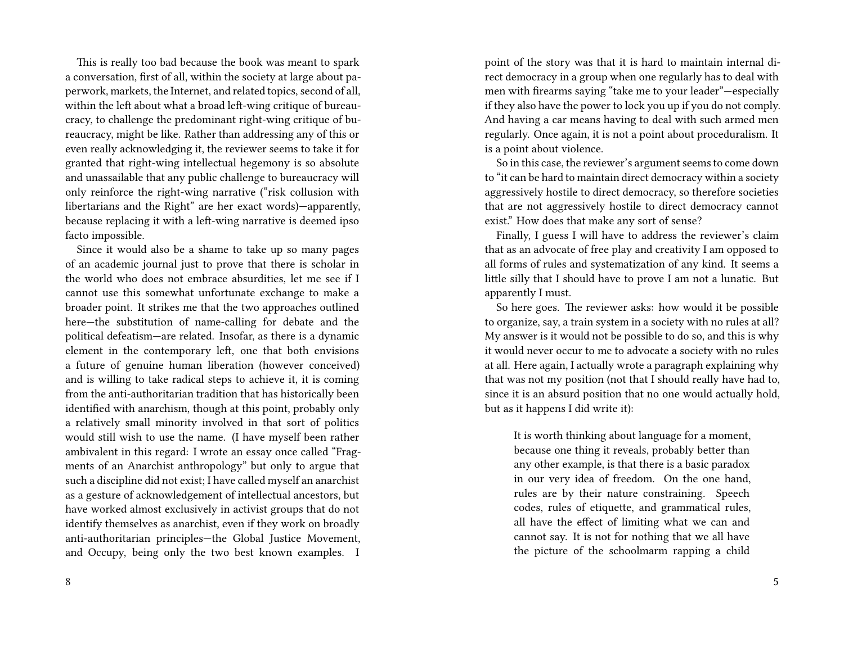This is really too bad because the book was meant to spark a conversation, first of all, within the society at large about paperwork, markets, the Internet, and related topics, second of all, within the left about what a broad left-wing critique of bureaucracy, to challenge the predominant right-wing critique of bureaucracy, might be like. Rather than addressing any of this or even really acknowledging it, the reviewer seems to take it for granted that right-wing intellectual hegemony is so absolute and unassailable that any public challenge to bureaucracy will only reinforce the right-wing narrative ("risk collusion with libertarians and the Right" are her exact words)—apparently, because replacing it with a left-wing narrative is deemed ipso facto impossible.

Since it would also be a shame to take up so many pages of an academic journal just to prove that there is scholar in the world who does not embrace absurdities, let me see if I cannot use this somewhat unfortunate exchange to make a broader point. It strikes me that the two approaches outlined here—the substitution of name-calling for debate and the political defeatism—are related. Insofar, as there is a dynamic element in the contemporary left, one that both envisions a future of genuine human liberation (however conceived) and is willing to take radical steps to achieve it, it is coming from the anti-authoritarian tradition that has historically been identified with anarchism, though at this point, probably only a relatively small minority involved in that sort of politics would still wish to use the name. (I have myself been rather ambivalent in this regard: I wrote an essay once called "Fragments of an Anarchist anthropology" but only to argue that such a discipline did not exist; I have called myself an anarchist as a gesture of acknowledgement of intellectual ancestors, but have worked almost exclusively in activist groups that do not identify themselves as anarchist, even if they work on broadly anti-authoritarian principles—the Global Justice Movement, and Occupy, being only the two best known examples. I

point of the story was that it is hard to maintain internal direct democracy in a group when one regularly has to deal with men with firearms saying "take me to your leader"—especially if they also have the power to lock you up if you do not comply. And having a car means having to deal with such armed men regularly. Once again, it is not a point about proceduralism. It is a point about violence.

So in this case, the reviewer's argument seems to come down to "it can be hard to maintain direct democracy within a society aggressively hostile to direct democracy, so therefore societies that are not aggressively hostile to direct democracy cannot exist." How does that make any sort of sense?

Finally, I guess I will have to address the reviewer's claim that as an advocate of free play and creativity I am opposed to all forms of rules and systematization of any kind. It seems a little silly that I should have to prove I am not a lunatic. But apparently I must.

So here goes. The reviewer asks: how would it be possible to organize, say, a train system in a society with no rules at all? My answer is it would not be possible to do so, and this is why it would never occur to me to advocate a society with no rules at all. Here again, I actually wrote a paragraph explaining why that was not my position (not that I should really have had to, since it is an absurd position that no one would actually hold, but as it happens I did write it):

It is worth thinking about language for a moment, because one thing it reveals, probably better than any other example, is that there is a basic paradox in our very idea of freedom. On the one hand, rules are by their nature constraining. Speech codes, rules of etiquette, and grammatical rules, all have the effect of limiting what we can and cannot say. It is not for nothing that we all have the picture of the schoolmarm rapping a child